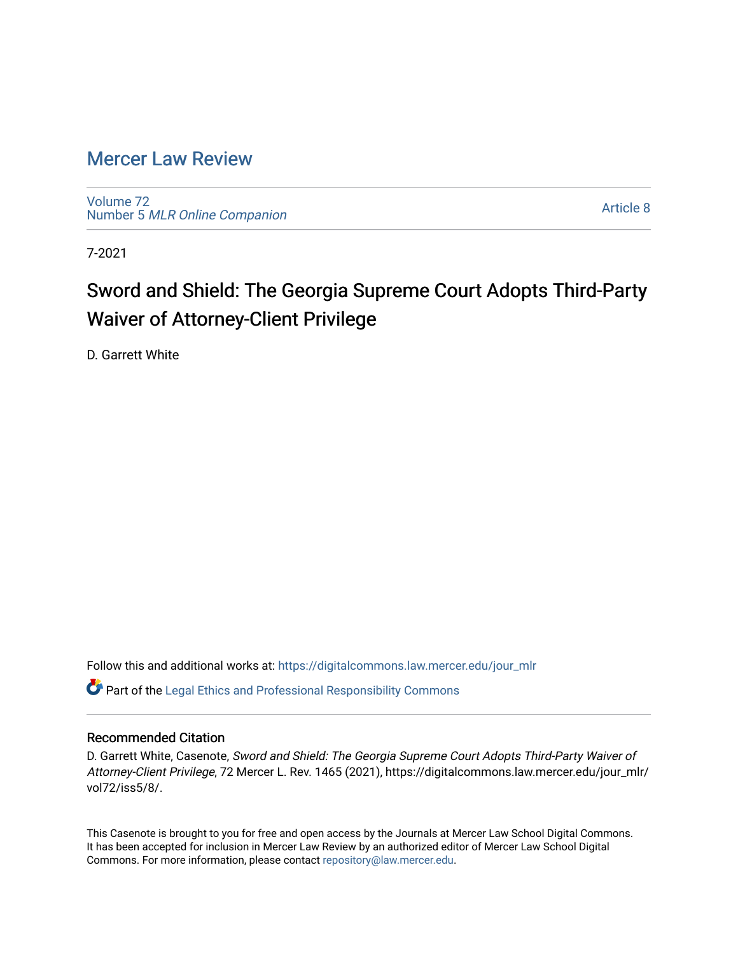## [Mercer Law Review](https://digitalcommons.law.mercer.edu/jour_mlr)

[Volume 72](https://digitalcommons.law.mercer.edu/jour_mlr/vol72) Number 5 [MLR Online Companion](https://digitalcommons.law.mercer.edu/jour_mlr/vol72/iss5) 

[Article 8](https://digitalcommons.law.mercer.edu/jour_mlr/vol72/iss5/8) 

7-2021

# Sword and Shield: The Georgia Supreme Court Adopts Third-Party Waiver of Attorney-Client Privilege

D. Garrett White

Follow this and additional works at: [https://digitalcommons.law.mercer.edu/jour\\_mlr](https://digitalcommons.law.mercer.edu/jour_mlr?utm_source=digitalcommons.law.mercer.edu%2Fjour_mlr%2Fvol72%2Fiss5%2F8&utm_medium=PDF&utm_campaign=PDFCoverPages)

 $\bullet$  Part of the [Legal Ethics and Professional Responsibility Commons](http://network.bepress.com/hgg/discipline/895?utm_source=digitalcommons.law.mercer.edu%2Fjour_mlr%2Fvol72%2Fiss5%2F8&utm_medium=PDF&utm_campaign=PDFCoverPages)

### Recommended Citation

D. Garrett White, Casenote, Sword and Shield: The Georgia Supreme Court Adopts Third-Party Waiver of Attorney-Client Privilege, 72 Mercer L. Rev. 1465 (2021), https://digitalcommons.law.mercer.edu/jour\_mlr/ vol72/iss5/8/.

This Casenote is brought to you for free and open access by the Journals at Mercer Law School Digital Commons. It has been accepted for inclusion in Mercer Law Review by an authorized editor of Mercer Law School Digital Commons. For more information, please contact [repository@law.mercer.edu.](mailto:repository@law.mercer.edu)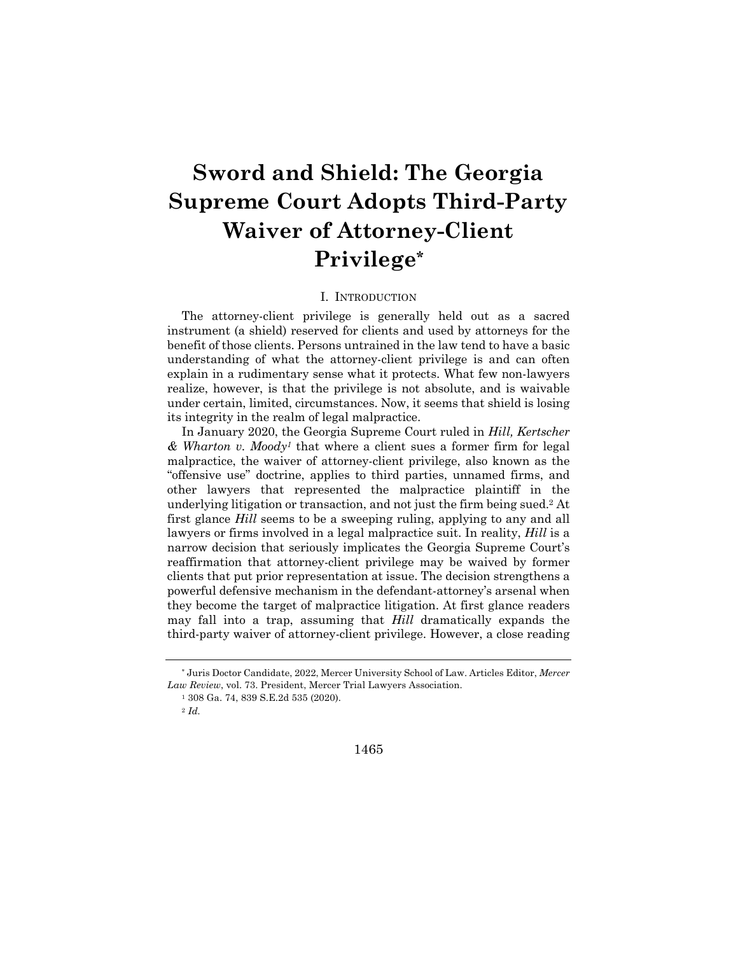# **Sword and Shield: The Georgia Supreme Court Adopts Third-Party Waiver of Attorney-Client Privilege\***

#### I. INTRODUCTION

The attorney-client privilege is generally held out as a sacred instrument (a shield) reserved for clients and used by attorneys for the benefit of those clients. Persons untrained in the law tend to have a basic understanding of what the attorney-client privilege is and can often explain in a rudimentary sense what it protects. What few non-lawyers realize, however, is that the privilege is not absolute, and is waivable under certain, limited, circumstances. Now, it seems that shield is losing its integrity in the realm of legal malpractice.

In January 2020, the Georgia Supreme Court ruled in *Hill, Kertscher & Wharton v. Moody1* that where a client sues a former firm for legal malpractice, the waiver of attorney-client privilege, also known as the "offensive use" doctrine, applies to third parties, unnamed firms, and other lawyers that represented the malpractice plaintiff in the underlying litigation or transaction, and not just the firm being sued.2 At first glance *Hill* seems to be a sweeping ruling, applying to any and all lawyers or firms involved in a legal malpractice suit. In reality, *Hill* is a narrow decision that seriously implicates the Georgia Supreme Court's reaffirmation that attorney-client privilege may be waived by former clients that put prior representation at issue. The decision strengthens a powerful defensive mechanism in the defendant-attorney's arsenal when they become the target of malpractice litigation. At first glance readers may fall into a trap, assuming that *Hill* dramatically expands the third-party waiver of attorney-client privilege. However, a close reading

1465

<sup>\*</sup> Juris Doctor Candidate, 2022, Mercer University School of Law. Articles Editor, *Mercer Law Review*, vol. 73. President, Mercer Trial Lawyers Association.

<sup>1</sup> 308 Ga. 74, 839 S.E.2d 535 (2020).

<sup>2</sup> *Id.*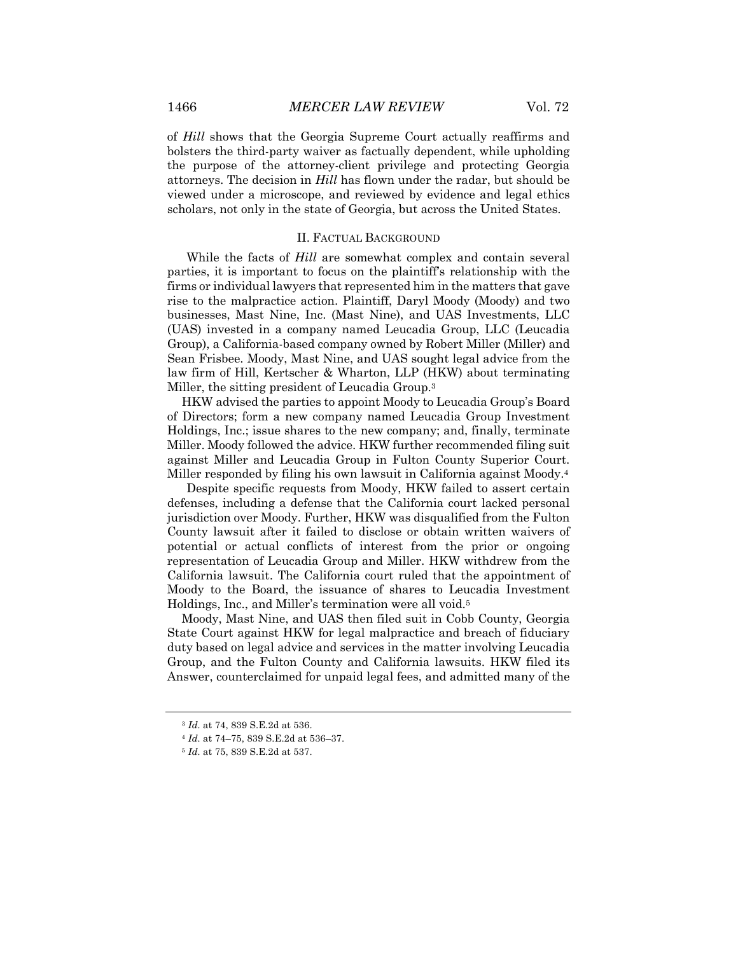of *Hill* shows that the Georgia Supreme Court actually reaffirms and bolsters the third-party waiver as factually dependent, while upholding the purpose of the attorney-client privilege and protecting Georgia attorneys. The decision in *Hill* has flown under the radar, but should be viewed under a microscope, and reviewed by evidence and legal ethics scholars, not only in the state of Georgia, but across the United States.

#### II. FACTUAL BACKGROUND

While the facts of *Hill* are somewhat complex and contain several parties, it is important to focus on the plaintiff's relationship with the firms or individual lawyers that represented him in the matters that gave rise to the malpractice action. Plaintiff, Daryl Moody (Moody) and two businesses, Mast Nine, Inc. (Mast Nine), and UAS Investments, LLC (UAS) invested in a company named Leucadia Group, LLC (Leucadia Group), a California-based company owned by Robert Miller (Miller) and Sean Frisbee. Moody, Mast Nine, and UAS sought legal advice from the law firm of Hill, Kertscher & Wharton, LLP (HKW) about terminating Miller, the sitting president of Leucadia Group.3

HKW advised the parties to appoint Moody to Leucadia Group's Board of Directors; form a new company named Leucadia Group Investment Holdings, Inc.; issue shares to the new company; and, finally, terminate Miller. Moody followed the advice. HKW further recommended filing suit against Miller and Leucadia Group in Fulton County Superior Court. Miller responded by filing his own lawsuit in California against Moody.4

Despite specific requests from Moody, HKW failed to assert certain defenses, including a defense that the California court lacked personal jurisdiction over Moody. Further, HKW was disqualified from the Fulton County lawsuit after it failed to disclose or obtain written waivers of potential or actual conflicts of interest from the prior or ongoing representation of Leucadia Group and Miller. HKW withdrew from the California lawsuit. The California court ruled that the appointment of Moody to the Board, the issuance of shares to Leucadia Investment Holdings, Inc., and Miller's termination were all void.5

Moody, Mast Nine, and UAS then filed suit in Cobb County, Georgia State Court against HKW for legal malpractice and breach of fiduciary duty based on legal advice and services in the matter involving Leucadia Group, and the Fulton County and California lawsuits. HKW filed its Answer, counterclaimed for unpaid legal fees, and admitted many of the

<sup>3</sup> *Id.* at 74, 839 S.E.2d at 536.

<sup>4</sup> *Id.* at 74–75, 839 S.E.2d at 536–37.

<sup>5</sup> *Id.* at 75, 839 S.E.2d at 537.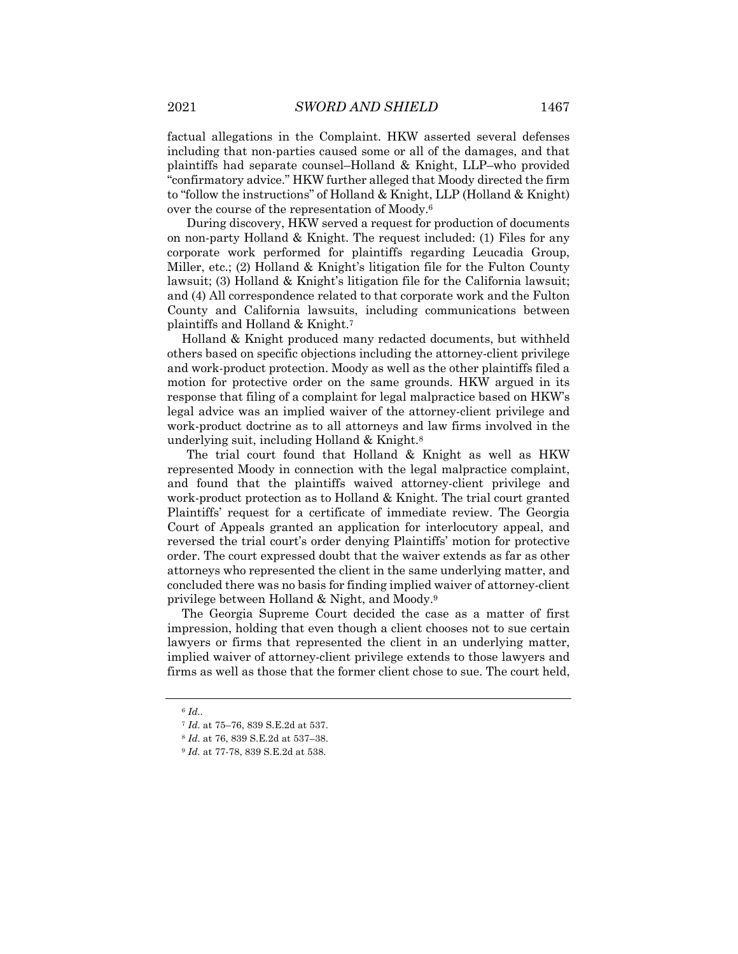factual allegations in the Complaint. HKW asserted several defenses including that non-parties caused some or all of the damages, and that plaintiffs had separate counsel–Holland & Knight, LLP–who provided "confirmatory advice." HKW further alleged that Moody directed the firm to "follow the instructions" of Holland & Knight, LLP (Holland & Knight) over the course of the representation of Moody.6

During discovery, HKW served a request for production of documents on non-party Holland & Knight. The request included: (1) Files for any corporate work performed for plaintiffs regarding Leucadia Group, Miller, etc.; (2) Holland & Knight's litigation file for the Fulton County lawsuit; (3) Holland & Knight's litigation file for the California lawsuit; and (4) All correspondence related to that corporate work and the Fulton County and California lawsuits, including communications between plaintiffs and Holland & Knight.7

Holland & Knight produced many redacted documents, but withheld others based on specific objections including the attorney-client privilege and work-product protection. Moody as well as the other plaintiffs filed a motion for protective order on the same grounds. HKW argued in its response that filing of a complaint for legal malpractice based on HKW's legal advice was an implied waiver of the attorney-client privilege and work-product doctrine as to all attorneys and law firms involved in the underlying suit, including Holland & Knight.8

The trial court found that Holland & Knight as well as HKW represented Moody in connection with the legal malpractice complaint, and found that the plaintiffs waived attorney-client privilege and work-product protection as to Holland & Knight. The trial court granted Plaintiffs' request for a certificate of immediate review. The Georgia Court of Appeals granted an application for interlocutory appeal, and reversed the trial court's order denying Plaintiffs' motion for protective order. The court expressed doubt that the waiver extends as far as other attorneys who represented the client in the same underlying matter, and concluded there was no basis for finding implied waiver of attorney-client privilege between Holland & Night, and Moody.9

The Georgia Supreme Court decided the case as a matter of first impression, holding that even though a client chooses not to sue certain lawyers or firms that represented the client in an underlying matter, implied waiver of attorney-client privilege extends to those lawyers and firms as well as those that the former client chose to sue. The court held,

<sup>6</sup> *Id..*

<sup>7</sup> *Id.* at 75–76, 839 S.E.2d at 537.

<sup>8</sup> *Id.* at 76, 839 S.E.2d at 537–38.

<sup>9</sup> *Id.* at 77-78, 839 S.E.2d at 538.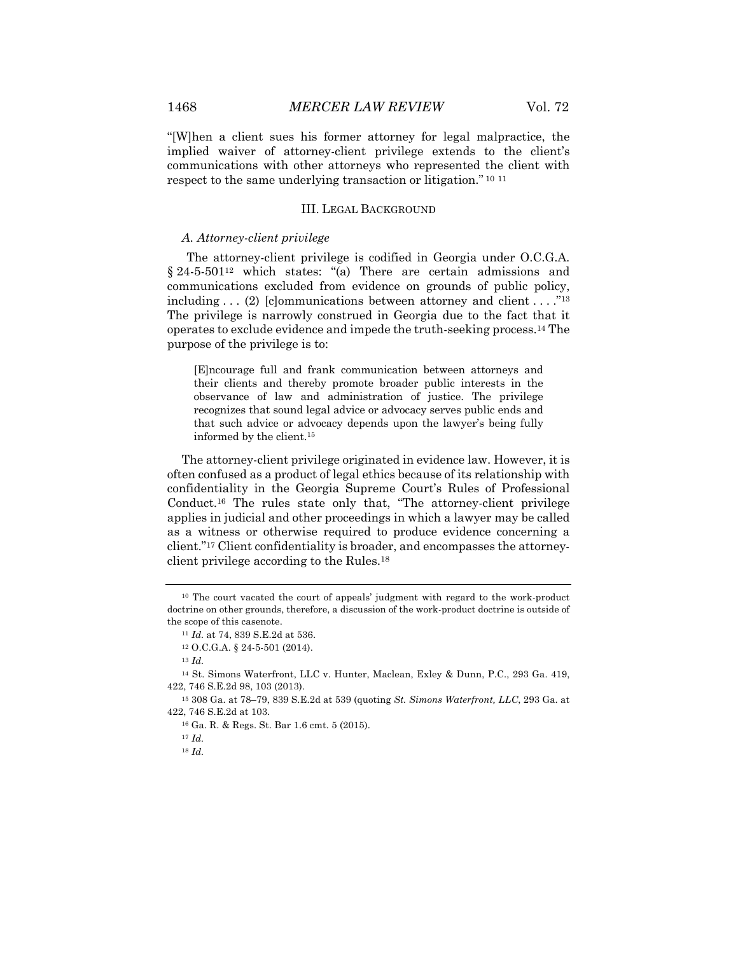"[W]hen a client sues his former attorney for legal malpractice, the implied waiver of attorney-client privilege extends to the client's communications with other attorneys who represented the client with respect to the same underlying transaction or litigation." <sup>10</sup> <sup>11</sup>

#### III. LEGAL BACKGROUND

#### *A. Attorney-client privilege*

The attorney-client privilege is codified in Georgia under O.C.G.A. § 24-5-501<sup>12</sup> which states: "(a) There are certain admissions and communications excluded from evidence on grounds of public policy, including  $\ldots$  (2) [clommunications between attorney and client  $\ldots$ ."<sup>13</sup> The privilege is narrowly construed in Georgia due to the fact that it operates to exclude evidence and impede the truth-seeking process.14 The purpose of the privilege is to:

[E]ncourage full and frank communication between attorneys and their clients and thereby promote broader public interests in the observance of law and administration of justice. The privilege recognizes that sound legal advice or advocacy serves public ends and that such advice or advocacy depends upon the lawyer's being fully informed by the client.15

The attorney-client privilege originated in evidence law. However, it is often confused as a product of legal ethics because of its relationship with confidentiality in the Georgia Supreme Court's Rules of Professional Conduct.16 The rules state only that, "The attorney-client privilege applies in judicial and other proceedings in which a lawyer may be called as a witness or otherwise required to produce evidence concerning a client."17 Client confidentiality is broader, and encompasses the attorneyclient privilege according to the Rules.18

<sup>&</sup>lt;sup>10</sup> The court vacated the court of appeals' judgment with regard to the work-product doctrine on other grounds, therefore, a discussion of the work-product doctrine is outside of the scope of this casenote.

<sup>11</sup> *Id.* at 74, 839 S.E.2d at 536.

<sup>12</sup> O.C.G.A. § 24-5-501 (2014).

<sup>13</sup> *Id.*

<sup>14</sup> St. Simons Waterfront, LLC v. Hunter, Maclean, Exley & Dunn, P.C., 293 Ga. 419, 422, 746 S.E.2d 98, 103 (2013).

<sup>15</sup> 308 Ga. at 78–79, 839 S.E.2d at 539 (quoting *St. Simons Waterfront, LLC*, 293 Ga. at 422, 746 S.E.2d at 103.

<sup>16</sup> Ga. R. & Regs. St. Bar 1.6 cmt. 5 (2015).

<sup>17</sup> *Id.*

<sup>18</sup> *Id.*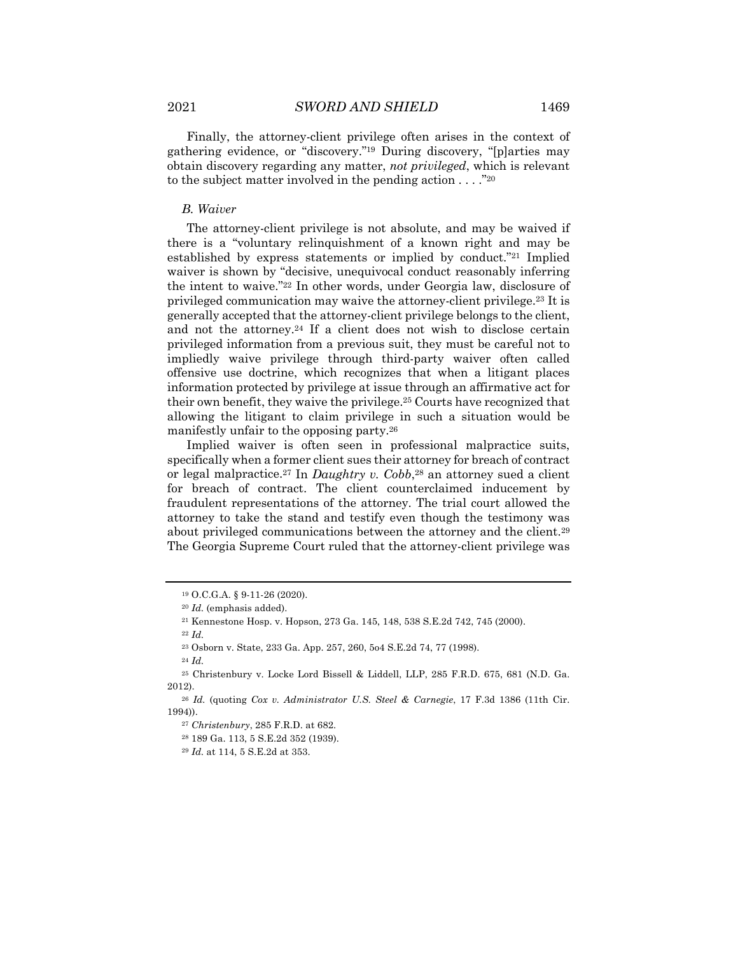Finally, the attorney-client privilege often arises in the context of gathering evidence, or "discovery."19 During discovery, "[p]arties may obtain discovery regarding any matter, *not privileged*, which is relevant to the subject matter involved in the pending action  $\dots$ ."<sup>20</sup>

#### *B. Waiver*

The attorney-client privilege is not absolute, and may be waived if there is a "voluntary relinquishment of a known right and may be established by express statements or implied by conduct."21 Implied waiver is shown by "decisive, unequivocal conduct reasonably inferring the intent to waive."22 In other words, under Georgia law, disclosure of privileged communication may waive the attorney-client privilege.23 It is generally accepted that the attorney-client privilege belongs to the client, and not the attorney.<sup>24</sup> If a client does not wish to disclose certain privileged information from a previous suit, they must be careful not to impliedly waive privilege through third-party waiver often called offensive use doctrine, which recognizes that when a litigant places information protected by privilege at issue through an affirmative act for their own benefit, they waive the privilege.25 Courts have recognized that allowing the litigant to claim privilege in such a situation would be manifestly unfair to the opposing party.26

Implied waiver is often seen in professional malpractice suits, specifically when a former client sues their attorney for breach of contract or legal malpractice.<sup>27</sup> In *Daughtry v. Cobb*,<sup>28</sup> an attorney sued a client for breach of contract. The client counterclaimed inducement by fraudulent representations of the attorney. The trial court allowed the attorney to take the stand and testify even though the testimony was about privileged communications between the attorney and the client.29 The Georgia Supreme Court ruled that the attorney-client privilege was

<sup>19</sup> O.C.G.A. § 9-11-26 (2020).

<sup>20</sup> *Id.* (emphasis added).

<sup>21</sup> Kennestone Hosp. v. Hopson, 273 Ga. 145, 148, 538 S.E.2d 742, 745 (2000).

<sup>22</sup> *Id.*

<sup>23</sup> Osborn v. State, 233 Ga. App. 257, 260, 5o4 S.E.2d 74, 77 (1998).

<sup>24</sup> *Id.*

<sup>25</sup> Christenbury v. Locke Lord Bissell & Liddell, LLP, 285 F.R.D. 675, 681 (N.D. Ga. 2012).

<sup>26</sup> *Id.* (quoting *Cox v. Administrator U.S. Steel & Carnegie*, 17 F.3d 1386 (11th Cir. 1994)).

<sup>27</sup> *Christenbury*, 285 F.R.D. at 682.

<sup>28</sup> 189 Ga. 113, 5 S.E.2d 352 (1939).

<sup>29</sup> *Id.* at 114, 5 S.E.2d at 353.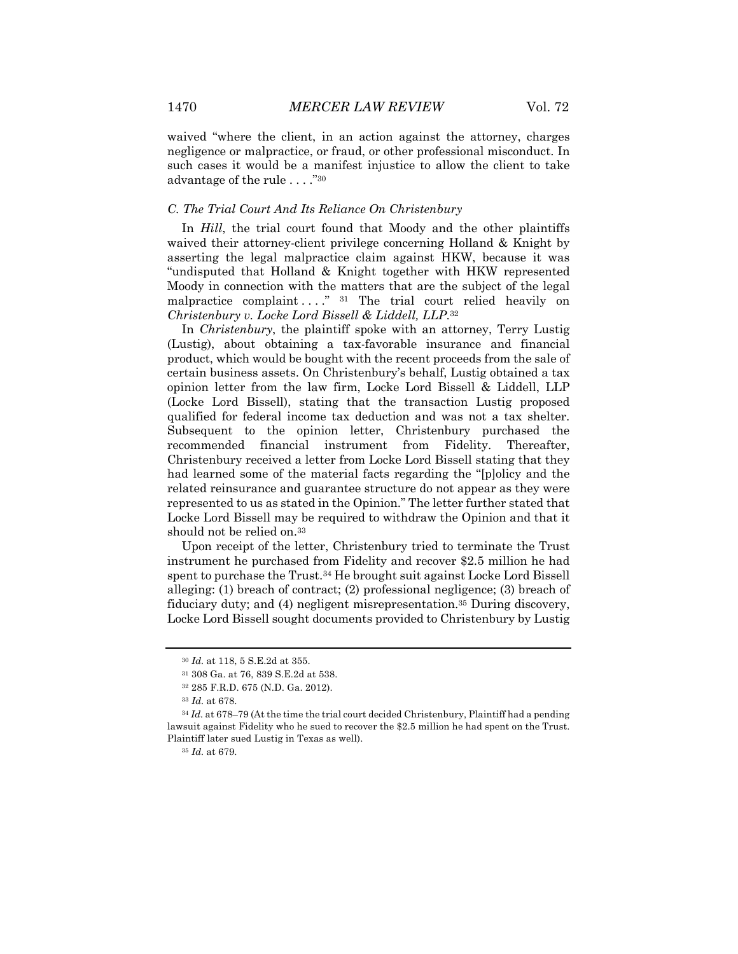waived "where the client, in an action against the attorney, charges negligence or malpractice, or fraud, or other professional misconduct. In such cases it would be a manifest injustice to allow the client to take advantage of the rule . . . ."30

#### *C. The Trial Court And Its Reliance On Christenbury*

In *Hill*, the trial court found that Moody and the other plaintiffs waived their attorney-client privilege concerning Holland & Knight by asserting the legal malpractice claim against HKW, because it was "undisputed that Holland & Knight together with HKW represented Moody in connection with the matters that are the subject of the legal malpractice complaint  $\ldots$ ." 31 The trial court relied heavily on *Christenbury v. Locke Lord Bissell & Liddell, LLP*.32

In *Christenbury*, the plaintiff spoke with an attorney, Terry Lustig (Lustig), about obtaining a tax-favorable insurance and financial product, which would be bought with the recent proceeds from the sale of certain business assets. On Christenbury's behalf, Lustig obtained a tax opinion letter from the law firm, Locke Lord Bissell & Liddell, LLP (Locke Lord Bissell), stating that the transaction Lustig proposed qualified for federal income tax deduction and was not a tax shelter. Subsequent to the opinion letter, Christenbury purchased the recommended financial instrument from Fidelity. Thereafter, Christenbury received a letter from Locke Lord Bissell stating that they had learned some of the material facts regarding the "[p]olicy and the related reinsurance and guarantee structure do not appear as they were represented to us as stated in the Opinion." The letter further stated that Locke Lord Bissell may be required to withdraw the Opinion and that it should not be relied on.<sup>33</sup>

Upon receipt of the letter, Christenbury tried to terminate the Trust instrument he purchased from Fidelity and recover \$2.5 million he had spent to purchase the Trust.34 He brought suit against Locke Lord Bissell alleging: (1) breach of contract; (2) professional negligence; (3) breach of fiduciary duty; and (4) negligent misrepresentation.35 During discovery, Locke Lord Bissell sought documents provided to Christenbury by Lustig

<sup>30</sup> *Id.* at 118, 5 S.E.2d at 355.

<sup>31</sup> 308 Ga. at 76, 839 S.E.2d at 538.

<sup>32</sup> 285 F.R.D. 675 (N.D. Ga. 2012).

<sup>33</sup> *Id.* at 678.

<sup>&</sup>lt;sup>34</sup> *Id.* at 678–79 (At the time the trial court decided Christenbury, Plaintiff had a pending lawsuit against Fidelity who he sued to recover the \$2.5 million he had spent on the Trust. Plaintiff later sued Lustig in Texas as well).

<sup>35</sup> *Id.* at 679.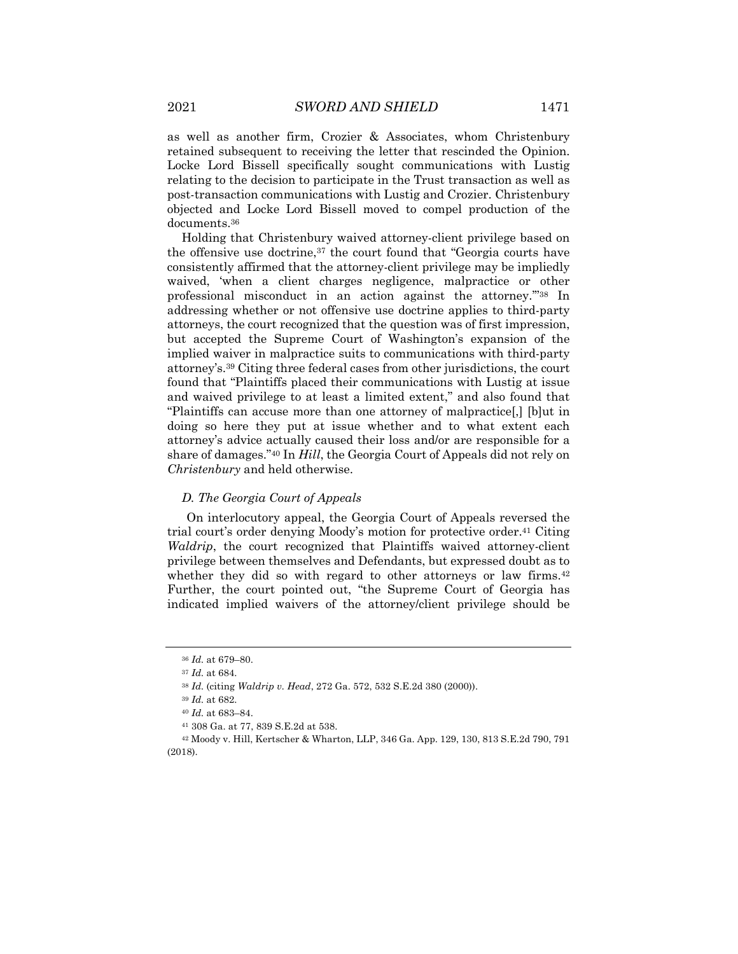as well as another firm, Crozier & Associates, whom Christenbury retained subsequent to receiving the letter that rescinded the Opinion. Locke Lord Bissell specifically sought communications with Lustig relating to the decision to participate in the Trust transaction as well as post-transaction communications with Lustig and Crozier. Christenbury objected and Locke Lord Bissell moved to compel production of the documents.36

Holding that Christenbury waived attorney-client privilege based on the offensive use doctrine,37 the court found that "Georgia courts have consistently affirmed that the attorney-client privilege may be impliedly waived, 'when a client charges negligence, malpractice or other professional misconduct in an action against the attorney.'"38 In addressing whether or not offensive use doctrine applies to third-party attorneys, the court recognized that the question was of first impression, but accepted the Supreme Court of Washington's expansion of the implied waiver in malpractice suits to communications with third-party attorney's.39 Citing three federal cases from other jurisdictions, the court found that "Plaintiffs placed their communications with Lustig at issue and waived privilege to at least a limited extent," and also found that "Plaintiffs can accuse more than one attorney of malpractice[,] [b]ut in doing so here they put at issue whether and to what extent each attorney's advice actually caused their loss and/or are responsible for a share of damages."40 In *Hill*, the Georgia Court of Appeals did not rely on *Christenbury* and held otherwise.

#### *D. The Georgia Court of Appeals*

On interlocutory appeal, the Georgia Court of Appeals reversed the trial court's order denying Moody's motion for protective order.41 Citing *Waldrip*, the court recognized that Plaintiffs waived attorney-client privilege between themselves and Defendants, but expressed doubt as to whether they did so with regard to other attorneys or law firms.<sup>42</sup> Further, the court pointed out, "the Supreme Court of Georgia has indicated implied waivers of the attorney/client privilege should be

<sup>36</sup> *Id.* at 679–80.

<sup>37</sup> *Id.* at 684.

<sup>38</sup> *Id.* (citing *Waldrip v. Head*, 272 Ga. 572, 532 S.E.2d 380 (2000)).

<sup>39</sup> *Id.* at 682.

<sup>40</sup> *Id.* at 683–84.

<sup>41</sup> 308 Ga. at 77, 839 S.E.2d at 538.

<sup>42</sup> Moody v. Hill, Kertscher & Wharton, LLP, 346 Ga. App. 129, 130, 813 S.E.2d 790, 791 (2018).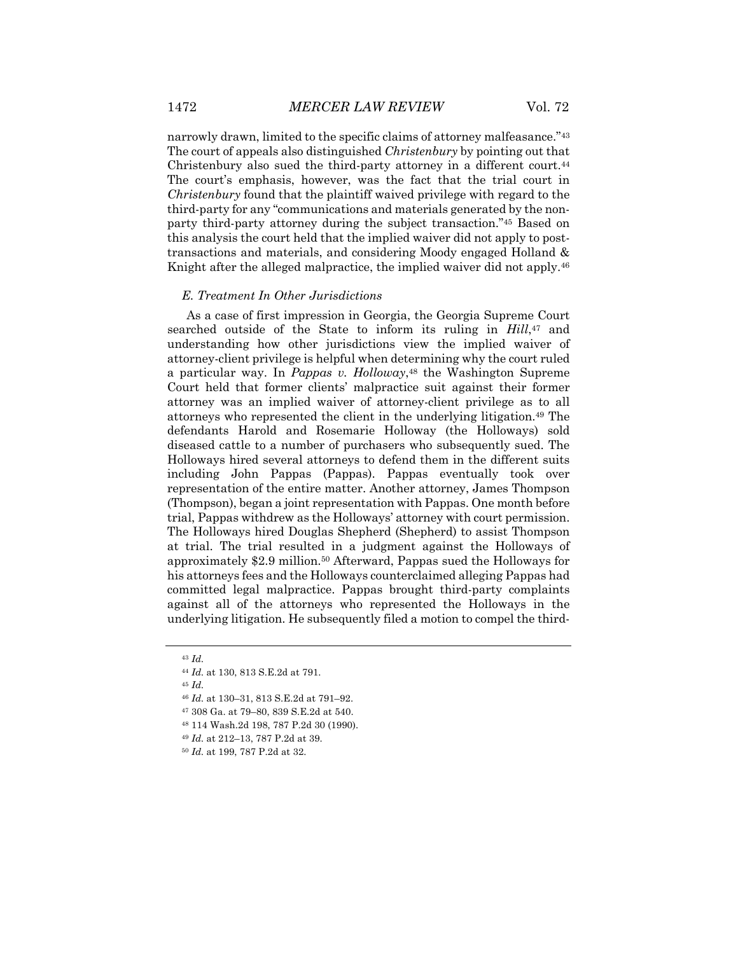narrowly drawn, limited to the specific claims of attorney malfeasance."43 The court of appeals also distinguished *Christenbury* by pointing out that Christenbury also sued the third-party attorney in a different court.<sup>44</sup> The court's emphasis, however, was the fact that the trial court in *Christenbury* found that the plaintiff waived privilege with regard to the third-party for any "communications and materials generated by the nonparty third-party attorney during the subject transaction."45 Based on this analysis the court held that the implied waiver did not apply to posttransactions and materials, and considering Moody engaged Holland & Knight after the alleged malpractice, the implied waiver did not apply.<sup>46</sup>

#### *E. Treatment In Other Jurisdictions*

As a case of first impression in Georgia, the Georgia Supreme Court searched outside of the State to inform its ruling in *Hill*,47 and understanding how other jurisdictions view the implied waiver of attorney-client privilege is helpful when determining why the court ruled a particular way. In *Pappas v. Holloway*,<sup>48</sup> the Washington Supreme Court held that former clients' malpractice suit against their former attorney was an implied waiver of attorney-client privilege as to all attorneys who represented the client in the underlying litigation.49 The defendants Harold and Rosemarie Holloway (the Holloways) sold diseased cattle to a number of purchasers who subsequently sued. The Holloways hired several attorneys to defend them in the different suits including John Pappas (Pappas). Pappas eventually took over representation of the entire matter. Another attorney, James Thompson (Thompson), began a joint representation with Pappas. One month before trial, Pappas withdrew as the Holloways' attorney with court permission. The Holloways hired Douglas Shepherd (Shepherd) to assist Thompson at trial. The trial resulted in a judgment against the Holloways of approximately \$2.9 million.50 Afterward, Pappas sued the Holloways for his attorneys fees and the Holloways counterclaimed alleging Pappas had committed legal malpractice. Pappas brought third-party complaints against all of the attorneys who represented the Holloways in the underlying litigation. He subsequently filed a motion to compel the third-

<sup>45</sup> *Id.*

- <sup>47</sup> 308 Ga. at 79–80, 839 S.E.2d at 540.
- <sup>48</sup> 114 Wash.2d 198, 787 P.2d 30 (1990).
- <sup>49</sup> *Id.* at 212–13, 787 P.2d at 39.
- <sup>50</sup> *Id.* at 199, 787 P.2d at 32.

<sup>43</sup> *Id.*

<sup>44</sup> *Id.* at 130, 813 S.E.2d at 791.

<sup>46</sup> *Id.* at 130–31, 813 S.E.2d at 791–92.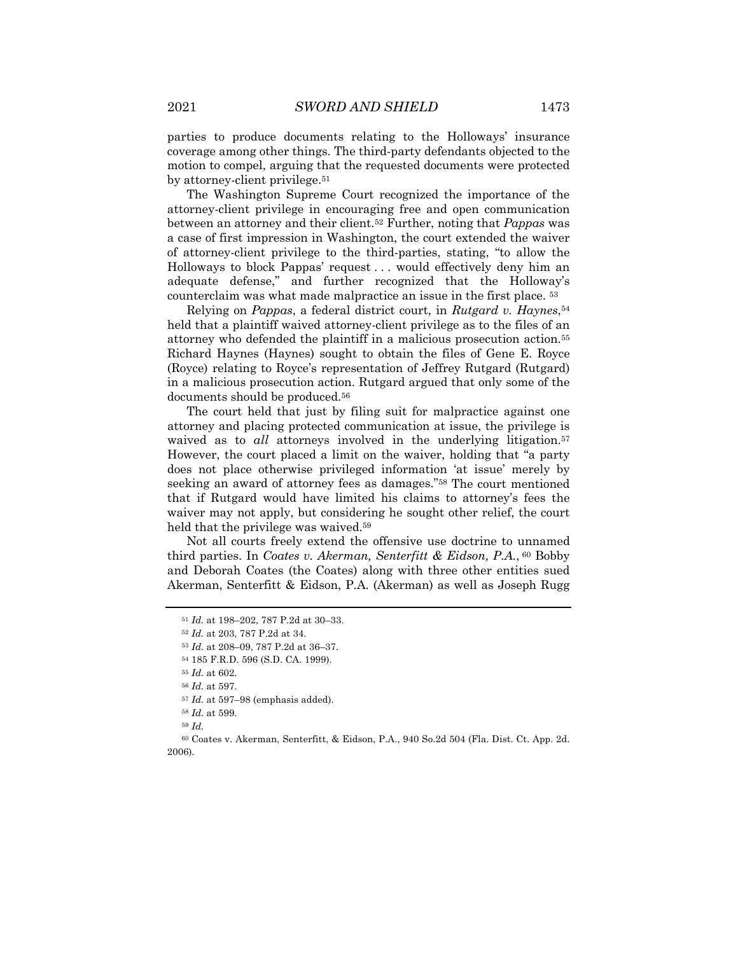parties to produce documents relating to the Holloways' insurance coverage among other things. The third-party defendants objected to the motion to compel, arguing that the requested documents were protected by attorney-client privilege.<sup>51</sup>

The Washington Supreme Court recognized the importance of the attorney-client privilege in encouraging free and open communication between an attorney and their client.52 Further, noting that *Pappas* was a case of first impression in Washington, the court extended the waiver of attorney-client privilege to the third-parties, stating, "to allow the Holloways to block Pappas' request . . . would effectively deny him an adequate defense," and further recognized that the Holloway's counterclaim was what made malpractice an issue in the first place. 53

Relying on *Pappas*, a federal district court, in *Rutgard v. Haynes*,54 held that a plaintiff waived attorney-client privilege as to the files of an attorney who defended the plaintiff in a malicious prosecution action.55 Richard Haynes (Haynes) sought to obtain the files of Gene E. Royce (Royce) relating to Royce's representation of Jeffrey Rutgard (Rutgard) in a malicious prosecution action. Rutgard argued that only some of the documents should be produced.56

The court held that just by filing suit for malpractice against one attorney and placing protected communication at issue, the privilege is waived as to *all* attorneys involved in the underlying litigation.<sup>57</sup> However, the court placed a limit on the waiver, holding that "a party does not place otherwise privileged information 'at issue' merely by seeking an award of attorney fees as damages."58 The court mentioned that if Rutgard would have limited his claims to attorney's fees the waiver may not apply, but considering he sought other relief, the court held that the privilege was waived.<sup>59</sup>

Not all courts freely extend the offensive use doctrine to unnamed third parties. In *Coates v. Akerman, Senterfitt & Eidson, P.A.*, <sup>60</sup> Bobby and Deborah Coates (the Coates) along with three other entities sued Akerman, Senterfitt & Eidson, P.A. (Akerman) as well as Joseph Rugg

<sup>51</sup> *Id.* at 198–202, 787 P.2d at 30–33.

<sup>52</sup> *Id.* at 203, 787 P.2d at 34.

<sup>53</sup> *Id.* at 208–09, 787 P.2d at 36–37.

<sup>54</sup> 185 F.R.D. 596 (S.D. CA. 1999).

<sup>55</sup> *Id.* at 602.

<sup>56</sup> *Id.* at 597.

<sup>57</sup> *Id.* at 597–98 (emphasis added).

<sup>58</sup> *Id.* at 599.

<sup>59</sup> *Id.*

<sup>60</sup> Coates v. Akerman, Senterfitt, & Eidson, P.A., 940 So.2d 504 (Fla. Dist. Ct. App. 2d. 2006).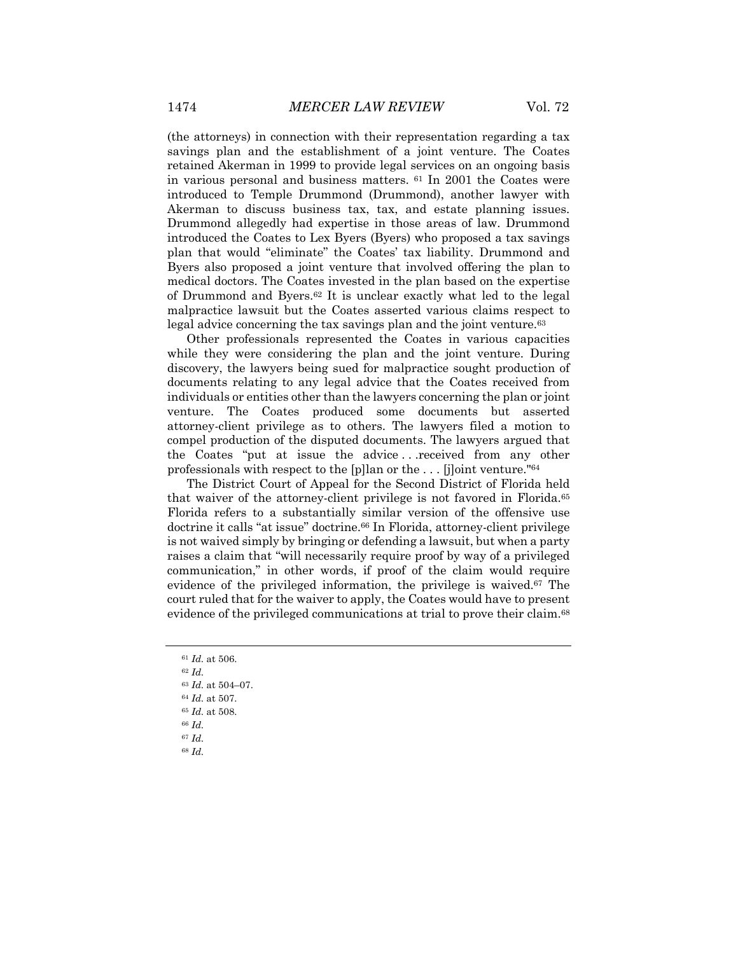(the attorneys) in connection with their representation regarding a tax savings plan and the establishment of a joint venture. The Coates retained Akerman in 1999 to provide legal services on an ongoing basis in various personal and business matters.  $61$  In 2001 the Coates were introduced to Temple Drummond (Drummond), another lawyer with Akerman to discuss business tax, tax, and estate planning issues. Drummond allegedly had expertise in those areas of law. Drummond introduced the Coates to Lex Byers (Byers) who proposed a tax savings plan that would "eliminate" the Coates' tax liability. Drummond and Byers also proposed a joint venture that involved offering the plan to medical doctors. The Coates invested in the plan based on the expertise of Drummond and Byers.62 It is unclear exactly what led to the legal malpractice lawsuit but the Coates asserted various claims respect to legal advice concerning the tax savings plan and the joint venture.<sup>63</sup>

Other professionals represented the Coates in various capacities while they were considering the plan and the joint venture. During discovery, the lawyers being sued for malpractice sought production of documents relating to any legal advice that the Coates received from individuals or entities other than the lawyers concerning the plan or joint venture. The Coates produced some documents but asserted attorney-client privilege as to others. The lawyers filed a motion to compel production of the disputed documents. The lawyers argued that the Coates "put at issue the advice . . .received from any other professionals with respect to the [p]lan or the . . . [j]oint venture."64

The District Court of Appeal for the Second District of Florida held that waiver of the attorney-client privilege is not favored in Florida.65 Florida refers to a substantially similar version of the offensive use doctrine it calls "at issue" doctrine.66 In Florida, attorney-client privilege is not waived simply by bringing or defending a lawsuit, but when a party raises a claim that "will necessarily require proof by way of a privileged communication," in other words, if proof of the claim would require evidence of the privileged information, the privilege is waived.67 The court ruled that for the waiver to apply, the Coates would have to present evidence of the privileged communications at trial to prove their claim.<sup>68</sup>

<sup>61</sup> *Id.* at 506.

<sup>62</sup> *Id.*  <sup>63</sup> *Id.* at 504–07. <sup>64</sup> *Id.* at 507. <sup>65</sup> *Id.* at 508. <sup>66</sup> *Id.* <sup>67</sup> *Id.* <sup>68</sup> *Id.*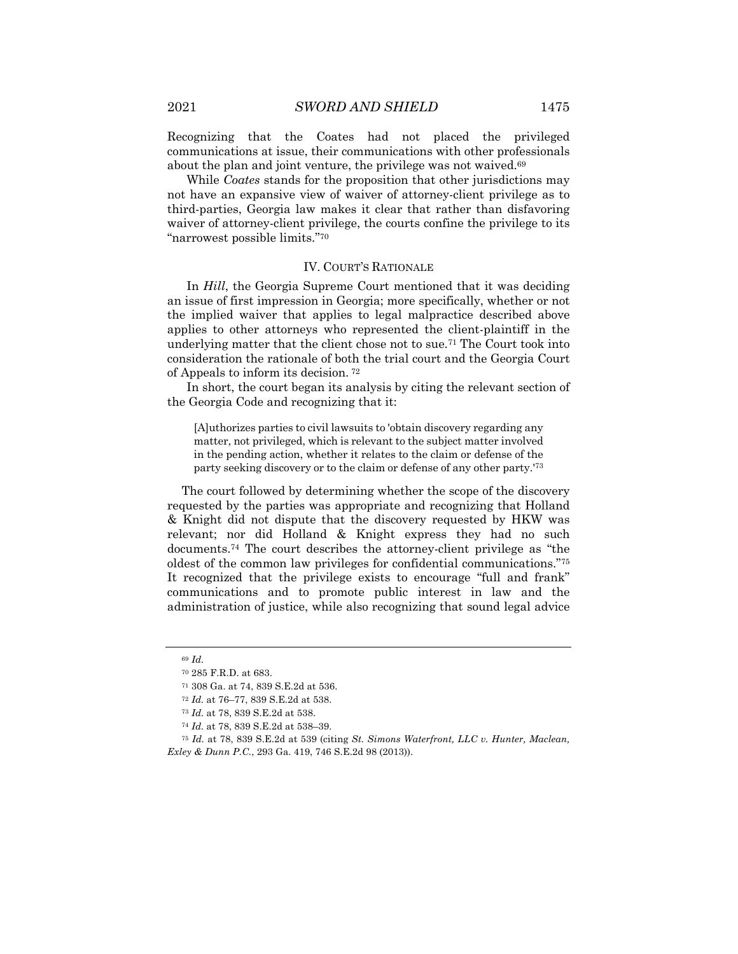Recognizing that the Coates had not placed the privileged communications at issue, their communications with other professionals about the plan and joint venture, the privilege was not waived.<sup>69</sup>

While *Coates* stands for the proposition that other jurisdictions may not have an expansive view of waiver of attorney-client privilege as to third-parties, Georgia law makes it clear that rather than disfavoring waiver of attorney-client privilege, the courts confine the privilege to its "narrowest possible limits."70

#### IV. COURT'S RATIONALE

In *Hill*, the Georgia Supreme Court mentioned that it was deciding an issue of first impression in Georgia; more specifically, whether or not the implied waiver that applies to legal malpractice described above applies to other attorneys who represented the client-plaintiff in the underlying matter that the client chose not to sue.<sup>71</sup> The Court took into consideration the rationale of both the trial court and the Georgia Court of Appeals to inform its decision. <sup>72</sup>

In short, the court began its analysis by citing the relevant section of the Georgia Code and recognizing that it:

[A]uthorizes parties to civil lawsuits to 'obtain discovery regarding any matter, not privileged, which is relevant to the subject matter involved in the pending action, whether it relates to the claim or defense of the party seeking discovery or to the claim or defense of any other party.'73

The court followed by determining whether the scope of the discovery requested by the parties was appropriate and recognizing that Holland & Knight did not dispute that the discovery requested by HKW was relevant; nor did Holland & Knight express they had no such documents.74 The court describes the attorney-client privilege as "the oldest of the common law privileges for confidential communications."75 It recognized that the privilege exists to encourage "full and frank" communications and to promote public interest in law and the administration of justice, while also recognizing that sound legal advice

<sup>69</sup> *Id.*

<sup>70</sup> 285 F.R.D. at 683.

<sup>71</sup> 308 Ga. at 74, 839 S.E.2d at 536.

<sup>72</sup> *Id.* at 76–77, 839 S.E.2d at 538.

<sup>73</sup> *Id.* at 78, 839 S.E.2d at 538.

<sup>74</sup> *Id.* at 78, 839 S.E.2d at 538–39.

<sup>75</sup> *Id.* at 78, 839 S.E.2d at 539 (citing *St. Simons Waterfront, LLC v. Hunter, Maclean, Exley & Dunn P.C.*, 293 Ga. 419, 746 S.E.2d 98 (2013)).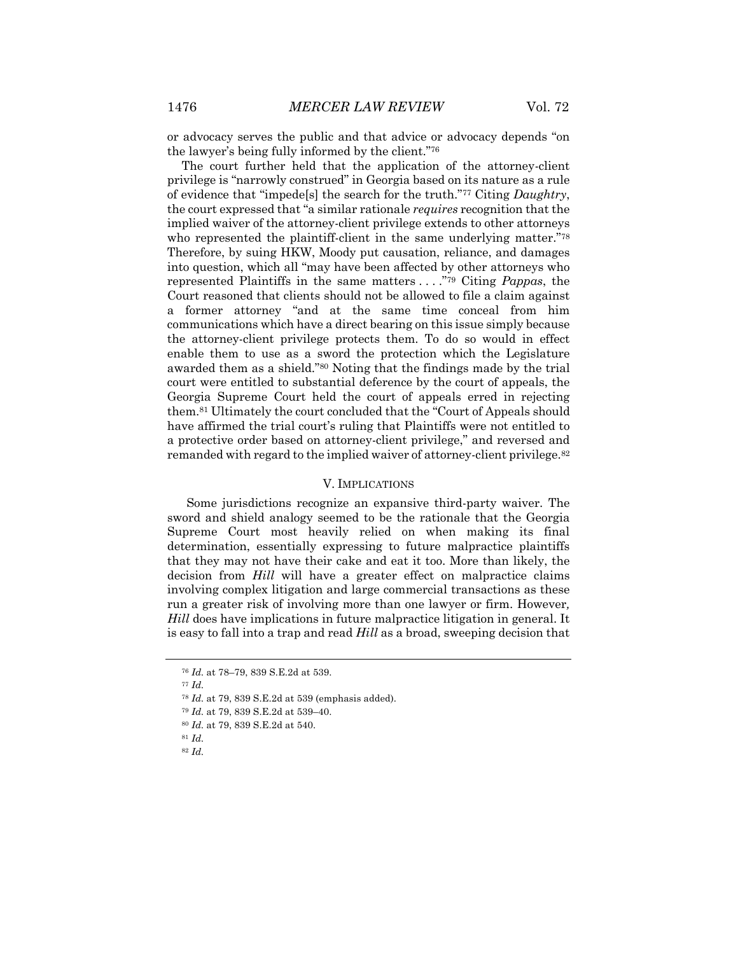or advocacy serves the public and that advice or advocacy depends "on the lawyer's being fully informed by the client."76

The court further held that the application of the attorney-client privilege is "narrowly construed" in Georgia based on its nature as a rule of evidence that "impede[s] the search for the truth."77 Citing *Daughtry*, the court expressed that "a similar rationale *requires* recognition that the implied waiver of the attorney-client privilege extends to other attorneys who represented the plaintiff-client in the same underlying matter."78 Therefore, by suing HKW, Moody put causation, reliance, and damages into question, which all "may have been affected by other attorneys who represented Plaintiffs in the same matters . . . ."79 Citing *Pappas*, the Court reasoned that clients should not be allowed to file a claim against a former attorney "and at the same time conceal from him communications which have a direct bearing on this issue simply because the attorney-client privilege protects them. To do so would in effect enable them to use as a sword the protection which the Legislature awarded them as a shield."80 Noting that the findings made by the trial court were entitled to substantial deference by the court of appeals, the Georgia Supreme Court held the court of appeals erred in rejecting them.81 Ultimately the court concluded that the "Court of Appeals should have affirmed the trial court's ruling that Plaintiffs were not entitled to a protective order based on attorney-client privilege," and reversed and remanded with regard to the implied waiver of attorney-client privilege.<sup>82</sup>

#### V. IMPLICATIONS

Some jurisdictions recognize an expansive third-party waiver. The sword and shield analogy seemed to be the rationale that the Georgia Supreme Court most heavily relied on when making its final determination, essentially expressing to future malpractice plaintiffs that they may not have their cake and eat it too. More than likely, the decision from *Hill* will have a greater effect on malpractice claims involving complex litigation and large commercial transactions as these run a greater risk of involving more than one lawyer or firm. However*, Hill* does have implications in future malpractice litigation in general. It is easy to fall into a trap and read *Hill* as a broad, sweeping decision that

- <sup>77</sup> *Id.*
- <sup>78</sup> *Id.* at 79, 839 S.E.2d at 539 (emphasis added).
- <sup>79</sup> *Id.* at 79, 839 S.E.2d at 539–40.
- <sup>80</sup> *Id.* at 79, 839 S.E.2d at 540.
- <sup>81</sup> *Id.*

<sup>76</sup> *Id.* at 78–79, 839 S.E.2d at 539.

<sup>82</sup> *Id.*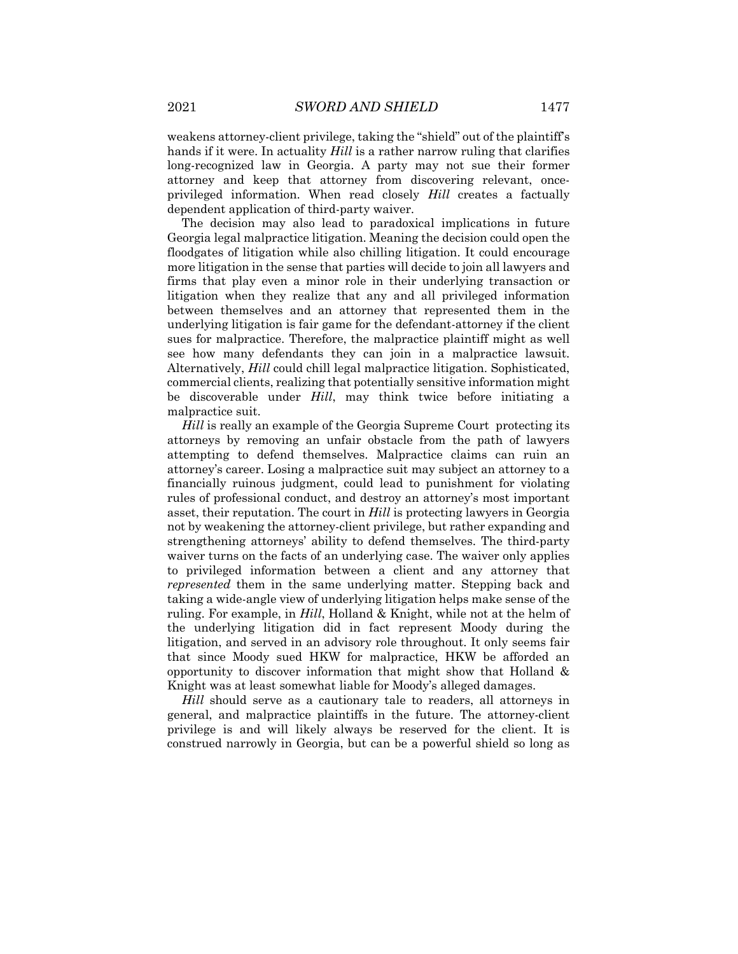weakens attorney-client privilege, taking the "shield" out of the plaintiff's hands if it were. In actuality *Hill* is a rather narrow ruling that clarifies long-recognized law in Georgia. A party may not sue their former attorney and keep that attorney from discovering relevant, onceprivileged information. When read closely *Hill* creates a factually dependent application of third-party waiver.

The decision may also lead to paradoxical implications in future Georgia legal malpractice litigation. Meaning the decision could open the floodgates of litigation while also chilling litigation. It could encourage more litigation in the sense that parties will decide to join all lawyers and firms that play even a minor role in their underlying transaction or litigation when they realize that any and all privileged information between themselves and an attorney that represented them in the underlying litigation is fair game for the defendant-attorney if the client sues for malpractice. Therefore, the malpractice plaintiff might as well see how many defendants they can join in a malpractice lawsuit. Alternatively, *Hill* could chill legal malpractice litigation. Sophisticated, commercial clients, realizing that potentially sensitive information might be discoverable under *Hill*, may think twice before initiating a malpractice suit.

*Hill* is really an example of the Georgia Supreme Court protecting its attorneys by removing an unfair obstacle from the path of lawyers attempting to defend themselves. Malpractice claims can ruin an attorney's career. Losing a malpractice suit may subject an attorney to a financially ruinous judgment, could lead to punishment for violating rules of professional conduct, and destroy an attorney's most important asset, their reputation. The court in *Hill* is protecting lawyers in Georgia not by weakening the attorney-client privilege, but rather expanding and strengthening attorneys' ability to defend themselves. The third-party waiver turns on the facts of an underlying case. The waiver only applies to privileged information between a client and any attorney that *represented* them in the same underlying matter. Stepping back and taking a wide-angle view of underlying litigation helps make sense of the ruling. For example, in *Hill*, Holland & Knight, while not at the helm of the underlying litigation did in fact represent Moody during the litigation, and served in an advisory role throughout. It only seems fair that since Moody sued HKW for malpractice, HKW be afforded an opportunity to discover information that might show that Holland & Knight was at least somewhat liable for Moody's alleged damages.

*Hill* should serve as a cautionary tale to readers, all attorneys in general, and malpractice plaintiffs in the future. The attorney-client privilege is and will likely always be reserved for the client. It is construed narrowly in Georgia, but can be a powerful shield so long as